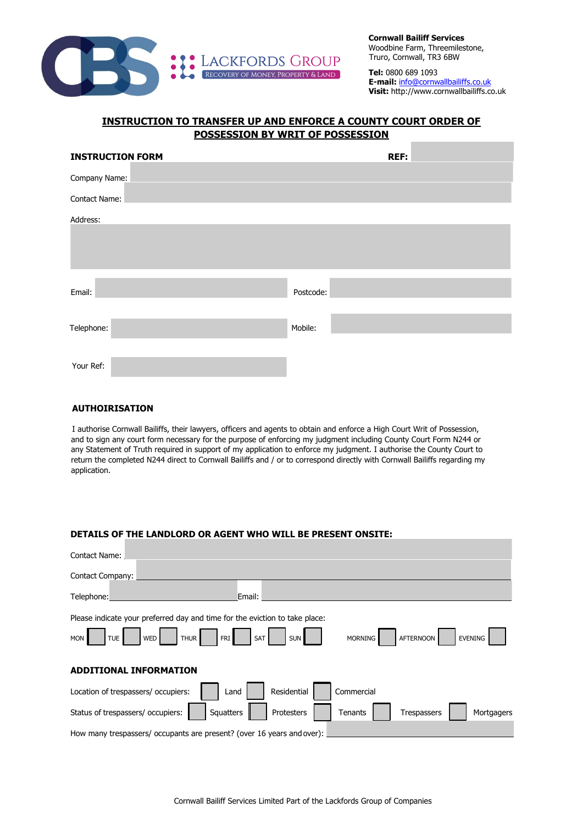

**Cornwall Bailiff Services** Woodbine Farm, Threemilestone, Truro, Cornwall, TR3 6BW

**Tel:** 0800 689 1093 **E-mail:** info@cornwallbailiffs.co.uk **Visit:** http://www.cornwallbailiffs.co.uk

## **INSTRUCTION TO TRANSFER UP AND ENFORCE A COUNTY COURT ORDER OF POSSESSION BY WRIT OF POSSESSION**

| <b>INSTRUCTION FORM</b> | <b>REF:</b> |
|-------------------------|-------------|
| Company Name:           |             |
| Contact Name:           |             |
| Address:                |             |
|                         |             |
|                         |             |
|                         |             |
| Email:                  | Postcode:   |
|                         |             |
| Telephone:              | Mobile:     |
|                         |             |
| Your Ref:               |             |

## **AUTHOIRISATION**

I authorise Cornwall Bailiffs, their lawyers, officers and agents to obtain and enforce a High Court Writ of Possession, and to sign any court form necessary for the purpose of enforcing my judgment including County Court Form N244 or any Statement of Truth required in support of my application to enforce my judgment. I authorise the County Court to return the completed N244 direct to Cornwall Bailiffs and / or to correspond directly with Cornwall Bailiffs regarding my application.

## **DETAILS OF THE LANDLORD OR AGENT WHO WILL BE PRESENT ONSITE:**

| Contact Name:                                                               |                                                                           |  |  |
|-----------------------------------------------------------------------------|---------------------------------------------------------------------------|--|--|
| Contact Company:                                                            |                                                                           |  |  |
| Telephone:                                                                  | Email:                                                                    |  |  |
| Please indicate your preferred day and time for the eviction to take place: |                                                                           |  |  |
| TUE <sup>I</sup><br><b>MON</b><br>WED<br>FRI <sup>I</sup><br><b>THUR</b>    | SAT<br><b>SUN</b><br><b>MORNING</b><br><b>AFTERNOON</b><br><b>EVENING</b> |  |  |
|                                                                             |                                                                           |  |  |
| <b>ADDITIONAL INFORMATION</b>                                               |                                                                           |  |  |
| Location of trespassers/ occupiers:<br>Land                                 | Commercial<br>Residential                                                 |  |  |
| Status of trespassers/ occupiers:<br>Squatters                              | Protesters<br>Tenants<br>Mortgagers<br>Trespassers                        |  |  |
| How many trespassers/ occupants are present? (over 16 years and over):      |                                                                           |  |  |